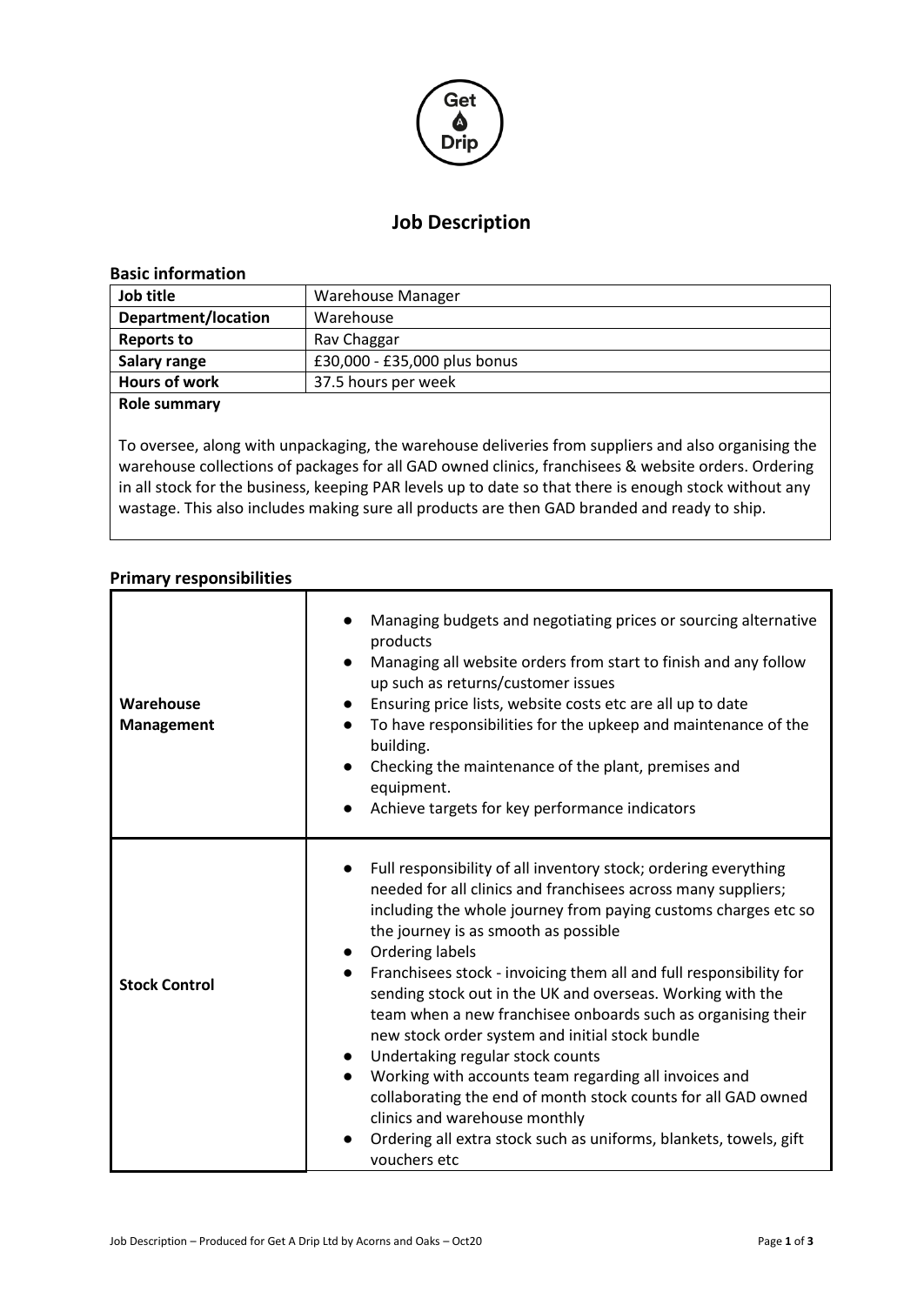

# **Job Description**

#### **Basic information**

| Job title            | Warehouse Manager            |  |  |
|----------------------|------------------------------|--|--|
| Department/location  | Warehouse                    |  |  |
| <b>Reports to</b>    | Rav Chaggar                  |  |  |
| Salary range         | £30,000 - £35,000 plus bonus |  |  |
| <b>Hours of work</b> | 37.5 hours per week          |  |  |
| <b>Role summary</b>  |                              |  |  |

To oversee, along with unpackaging, the warehouse deliveries from suppliers and also organising the warehouse collections of packages for all GAD owned clinics, franchisees & website orders. Ordering in all stock for the business, keeping PAR levels up to date so that there is enough stock without any wastage. This also includes making sure all products are then GAD branded and ready to ship.

# **Primary responsibilities**

| Warehouse<br><b>Management</b> | Managing budgets and negotiating prices or sourcing alternative<br>products<br>Managing all website orders from start to finish and any follow<br>up such as returns/customer issues<br>Ensuring price lists, website costs etc are all up to date<br>To have responsibilities for the upkeep and maintenance of the<br>building.<br>Checking the maintenance of the plant, premises and<br>equipment.<br>Achieve targets for key performance indicators                                                                                                                                                                                                                                                                                                                                                                |
|--------------------------------|-------------------------------------------------------------------------------------------------------------------------------------------------------------------------------------------------------------------------------------------------------------------------------------------------------------------------------------------------------------------------------------------------------------------------------------------------------------------------------------------------------------------------------------------------------------------------------------------------------------------------------------------------------------------------------------------------------------------------------------------------------------------------------------------------------------------------|
| <b>Stock Control</b>           | Full responsibility of all inventory stock; ordering everything<br>needed for all clinics and franchisees across many suppliers;<br>including the whole journey from paying customs charges etc so<br>the journey is as smooth as possible<br>• Ordering labels<br>Franchisees stock - invoicing them all and full responsibility for<br>sending stock out in the UK and overseas. Working with the<br>team when a new franchisee onboards such as organising their<br>new stock order system and initial stock bundle<br>Undertaking regular stock counts<br>Working with accounts team regarding all invoices and<br>$\bullet$<br>collaborating the end of month stock counts for all GAD owned<br>clinics and warehouse monthly<br>Ordering all extra stock such as uniforms, blankets, towels, gift<br>vouchers etc |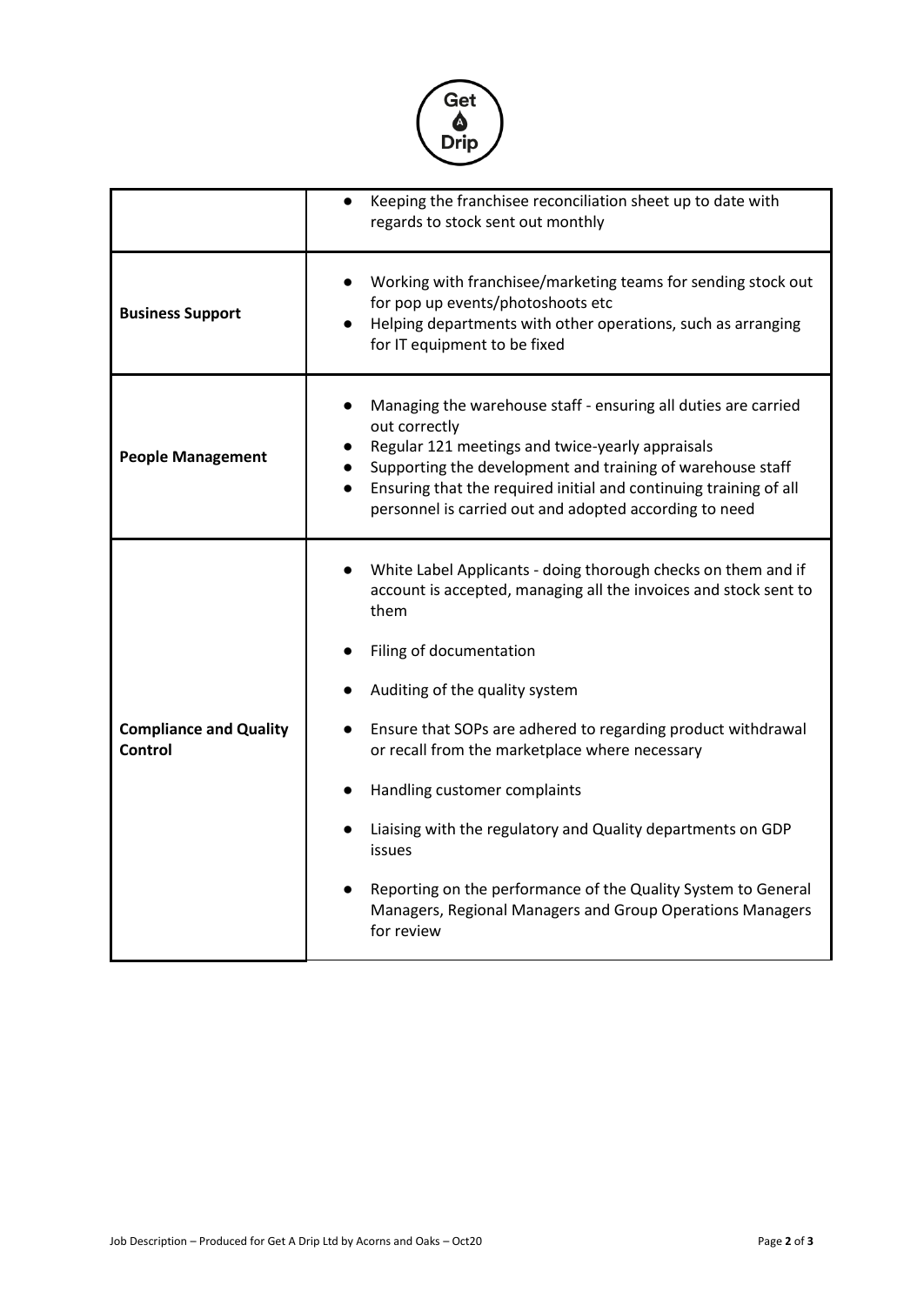

|                                          | Keeping the franchisee reconciliation sheet up to date with<br>$\bullet$<br>regards to stock sent out monthly                                                                                                                                                                                                                    |  |  |  |
|------------------------------------------|----------------------------------------------------------------------------------------------------------------------------------------------------------------------------------------------------------------------------------------------------------------------------------------------------------------------------------|--|--|--|
| <b>Business Support</b>                  | Working with franchisee/marketing teams for sending stock out<br>for pop up events/photoshoots etc<br>Helping departments with other operations, such as arranging<br>for IT equipment to be fixed                                                                                                                               |  |  |  |
| <b>People Management</b>                 | Managing the warehouse staff - ensuring all duties are carried<br>out correctly<br>Regular 121 meetings and twice-yearly appraisals<br>Supporting the development and training of warehouse staff<br>Ensuring that the required initial and continuing training of all<br>personnel is carried out and adopted according to need |  |  |  |
|                                          | White Label Applicants - doing thorough checks on them and if<br>account is accepted, managing all the invoices and stock sent to<br>them                                                                                                                                                                                        |  |  |  |
|                                          | Filing of documentation                                                                                                                                                                                                                                                                                                          |  |  |  |
|                                          | Auditing of the quality system                                                                                                                                                                                                                                                                                                   |  |  |  |
| <b>Compliance and Quality</b><br>Control | Ensure that SOPs are adhered to regarding product withdrawal<br>$\bullet$<br>or recall from the marketplace where necessary                                                                                                                                                                                                      |  |  |  |
|                                          | Handling customer complaints                                                                                                                                                                                                                                                                                                     |  |  |  |
|                                          | Liaising with the regulatory and Quality departments on GDP<br>issues                                                                                                                                                                                                                                                            |  |  |  |
|                                          | Reporting on the performance of the Quality System to General<br>Managers, Regional Managers and Group Operations Managers<br>for review                                                                                                                                                                                         |  |  |  |